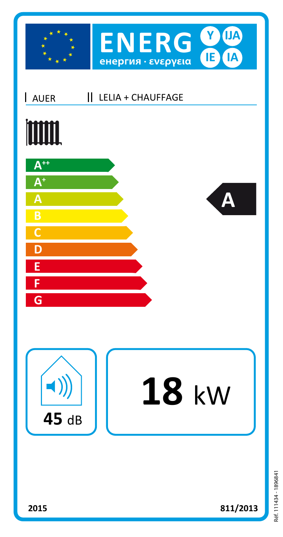

|| LELIA + CHAUFFAGE AUER

## **TITLE**







## 18 kw